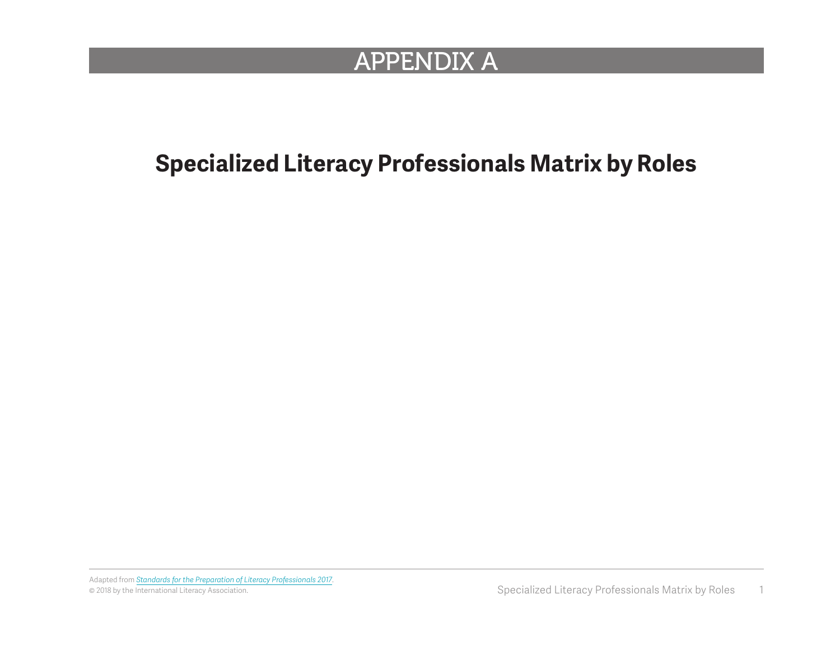## APPENDIX A

## **Specialized Literacy Professionals Matrix by Roles**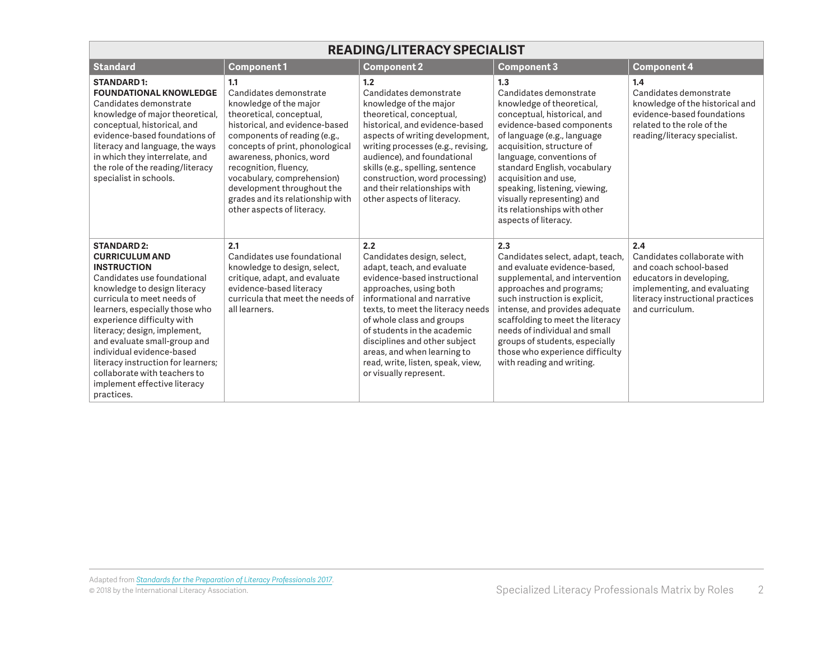| <b>READING/LITERACY SPECIALIST</b>                                                                                                                                                                                                                                                                                                                                                                                                              |                                                                                                                                                                                                                                                                                                                                                                             |                                                                                                                                                                                                                                                                                                                                                                                          |                                                                                                                                                                                                                                                                                                                                                                                               |                                                                                                                                                                                 |  |
|-------------------------------------------------------------------------------------------------------------------------------------------------------------------------------------------------------------------------------------------------------------------------------------------------------------------------------------------------------------------------------------------------------------------------------------------------|-----------------------------------------------------------------------------------------------------------------------------------------------------------------------------------------------------------------------------------------------------------------------------------------------------------------------------------------------------------------------------|------------------------------------------------------------------------------------------------------------------------------------------------------------------------------------------------------------------------------------------------------------------------------------------------------------------------------------------------------------------------------------------|-----------------------------------------------------------------------------------------------------------------------------------------------------------------------------------------------------------------------------------------------------------------------------------------------------------------------------------------------------------------------------------------------|---------------------------------------------------------------------------------------------------------------------------------------------------------------------------------|--|
| <b>Standard</b>                                                                                                                                                                                                                                                                                                                                                                                                                                 | <b>Component1</b>                                                                                                                                                                                                                                                                                                                                                           | <b>Component 2</b>                                                                                                                                                                                                                                                                                                                                                                       | <b>Component 3</b>                                                                                                                                                                                                                                                                                                                                                                            | <b>Component 4</b>                                                                                                                                                              |  |
| <b>STANDARD1:</b><br><b>FOUNDATIONAL KNOWLEDGE</b><br>Candidates demonstrate<br>knowledge of major theoretical,<br>conceptual, historical, and<br>evidence-based foundations of<br>literacy and language, the ways<br>in which they interrelate, and<br>the role of the reading/literacy<br>specialist in schools.                                                                                                                              | 1.1<br>Candidates demonstrate<br>knowledge of the major<br>theoretical, conceptual,<br>historical, and evidence-based<br>components of reading (e.g.,<br>concepts of print, phonological<br>awareness, phonics, word<br>recognition, fluency,<br>vocabulary, comprehension)<br>development throughout the<br>grades and its relationship with<br>other aspects of literacy. | 1.2<br>Candidates demonstrate<br>knowledge of the major<br>theoretical, conceptual,<br>historical, and evidence-based<br>aspects of writing development,<br>writing processes (e.g., revising,<br>audience), and foundational<br>skills (e.g., spelling, sentence<br>construction, word processing)<br>and their relationships with<br>other aspects of literacy.                        | 1.3<br>Candidates demonstrate<br>knowledge of theoretical,<br>conceptual, historical, and<br>evidence-based components<br>of language (e.g., language<br>acquisition, structure of<br>language, conventions of<br>standard English, vocabulary<br>acquisition and use,<br>speaking, listening, viewing,<br>visually representing) and<br>its relationships with other<br>aspects of literacy. | 1.4<br>Candidates demonstrate<br>knowledge of the historical and<br>evidence-based foundations<br>related to the role of the<br>reading/literacy specialist.                    |  |
| <b>STANDARD 2:</b><br><b>CURRICULUM AND</b><br><b>INSTRUCTION</b><br>Candidates use foundational<br>knowledge to design literacy<br>curricula to meet needs of<br>learners, especially those who<br>experience difficulty with<br>literacy; design, implement,<br>and evaluate small-group and<br>individual evidence-based<br>literacy instruction for learners;<br>collaborate with teachers to<br>implement effective literacy<br>practices. | 2.1<br>Candidates use foundational<br>knowledge to design, select,<br>critique, adapt, and evaluate<br>evidence-based literacy<br>curricula that meet the needs of<br>all learners.                                                                                                                                                                                         | 2.2<br>Candidates design, select,<br>adapt, teach, and evaluate<br>evidence-based instructional<br>approaches, using both<br>informational and narrative<br>texts, to meet the literacy needs<br>of whole class and groups<br>of students in the academic<br>disciplines and other subject<br>areas, and when learning to<br>read, write, listen, speak, view,<br>or visually represent. | 2.3<br>Candidates select, adapt, teach,<br>and evaluate evidence-based.<br>supplemental, and intervention<br>approaches and programs;<br>such instruction is explicit,<br>intense, and provides adequate<br>scaffolding to meet the literacy<br>needs of individual and small<br>groups of students, especially<br>those who experience difficulty<br>with reading and writing.               | 2.4<br>Candidates collaborate with<br>and coach school-based<br>educators in developing,<br>implementing, and evaluating<br>literacy instructional practices<br>and curriculum. |  |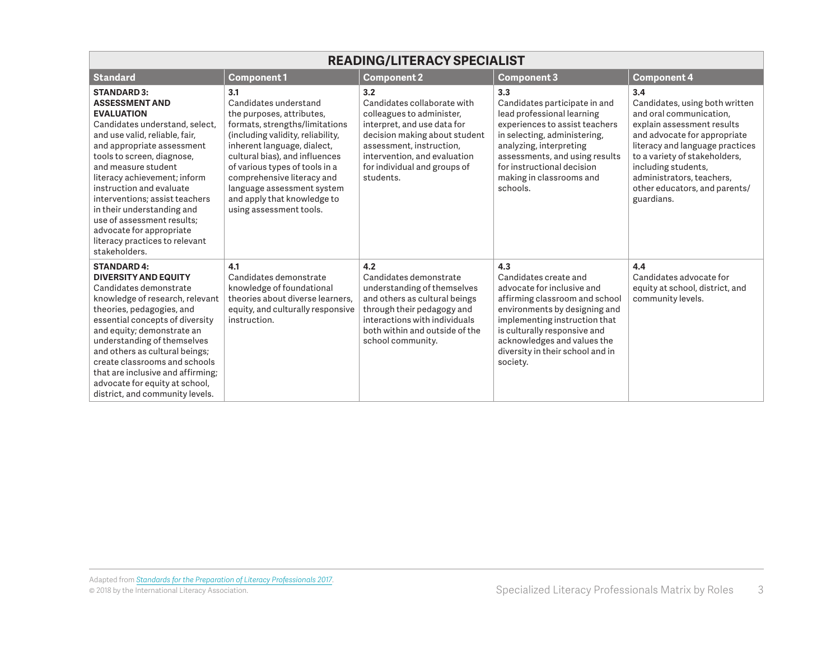| <b>READING/LITERACY SPECIALIST</b>                                                                                                                                                                                                                                                                                                                                                                                                                               |                                                                                                                                                                                                                                                                                                                                                           |                                                                                                                                                                                                                                          |                                                                                                                                                                                                                                                                               |                                                                                                                                                                                                                                                                                                       |  |
|------------------------------------------------------------------------------------------------------------------------------------------------------------------------------------------------------------------------------------------------------------------------------------------------------------------------------------------------------------------------------------------------------------------------------------------------------------------|-----------------------------------------------------------------------------------------------------------------------------------------------------------------------------------------------------------------------------------------------------------------------------------------------------------------------------------------------------------|------------------------------------------------------------------------------------------------------------------------------------------------------------------------------------------------------------------------------------------|-------------------------------------------------------------------------------------------------------------------------------------------------------------------------------------------------------------------------------------------------------------------------------|-------------------------------------------------------------------------------------------------------------------------------------------------------------------------------------------------------------------------------------------------------------------------------------------------------|--|
| <b>Standard</b>                                                                                                                                                                                                                                                                                                                                                                                                                                                  | <b>Component1</b>                                                                                                                                                                                                                                                                                                                                         | <b>Component 2</b>                                                                                                                                                                                                                       | <b>Component 3</b>                                                                                                                                                                                                                                                            | <b>Component 4</b>                                                                                                                                                                                                                                                                                    |  |
| <b>STANDARD 3:</b><br><b>ASSESSMENT AND</b><br><b>EVALUATION</b><br>Candidates understand, select,<br>and use valid, reliable, fair,<br>and appropriate assessment<br>tools to screen, diagnose,<br>and measure student<br>literacy achievement; inform<br>instruction and evaluate<br>interventions; assist teachers<br>in their understanding and<br>use of assessment results:<br>advocate for appropriate<br>literacy practices to relevant<br>stakeholders. | 3.1<br>Candidates understand<br>the purposes, attributes,<br>formats, strengths/limitations<br>(including validity, reliability,<br>inherent language, dialect,<br>cultural bias), and influences<br>of various types of tools in a<br>comprehensive literacy and<br>language assessment system<br>and apply that knowledge to<br>using assessment tools. | 3.2<br>Candidates collaborate with<br>colleagues to administer,<br>interpret, and use data for<br>decision making about student<br>assessment, instruction,<br>intervention, and evaluation<br>for individual and groups of<br>students. | 3.3<br>Candidates participate in and<br>lead professional learning<br>experiences to assist teachers<br>in selecting, administering,<br>analyzing, interpreting<br>assessments, and using results<br>for instructional decision<br>making in classrooms and<br>schools.       | 3.4<br>Candidates, using both written<br>and oral communication,<br>explain assessment results<br>and advocate for appropriate<br>literacy and language practices<br>to a variety of stakeholders,<br>including students,<br>administrators, teachers,<br>other educators, and parents/<br>guardians. |  |
| <b>STANDARD 4:</b><br><b>DIVERSITY AND EQUITY</b><br>Candidates demonstrate<br>knowledge of research, relevant<br>theories, pedagogies, and<br>essential concepts of diversity<br>and equity; demonstrate an<br>understanding of themselves<br>and others as cultural beings;<br>create classrooms and schools<br>that are inclusive and affirming;<br>advocate for equity at school,<br>district, and community levels.                                         | 4.1<br>Candidates demonstrate<br>knowledge of foundational<br>theories about diverse learners.<br>equity, and culturally responsive<br>instruction.                                                                                                                                                                                                       | 4.2<br>Candidates demonstrate<br>understanding of themselves<br>and others as cultural beings<br>through their pedagogy and<br>interactions with individuals<br>both within and outside of the<br>school community.                      | 4.3<br>Candidates create and<br>advocate for inclusive and<br>affirming classroom and school<br>environments by designing and<br>implementing instruction that<br>is culturally responsive and<br>acknowledges and values the<br>diversity in their school and in<br>society. | 4.4<br>Candidates advocate for<br>equity at school, district, and<br>community levels.                                                                                                                                                                                                                |  |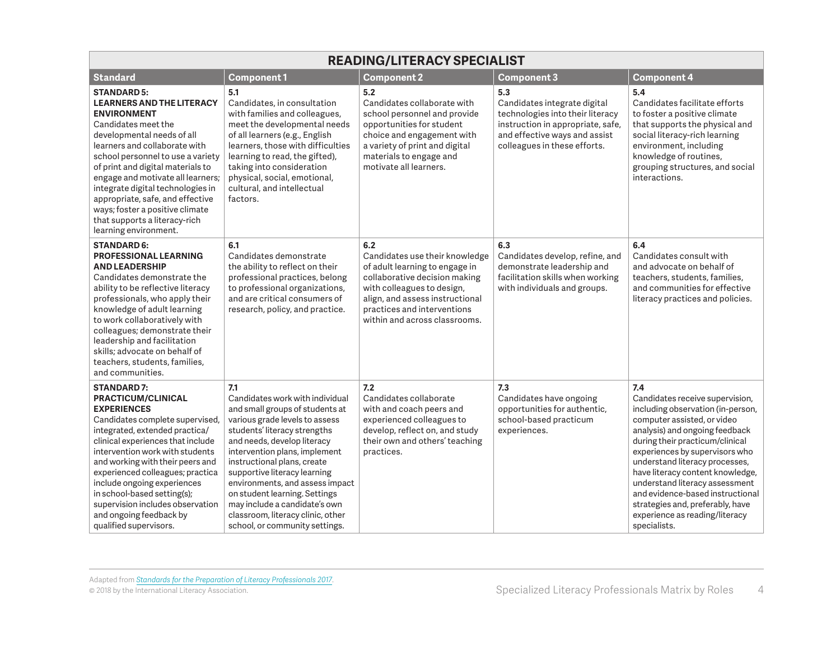| <b>READING/LITERACY SPECIALIST</b>                                                                                                                                                                                                                                                                                                                                                                                                                      |                                                                                                                                                                                                                                                                                                                                                                                                                                                        |                                                                                                                                                                                                                                           |                                                                                                                                                                               |                                                                                                                                                                                                                                                                                                                                                                                                                                                     |  |
|---------------------------------------------------------------------------------------------------------------------------------------------------------------------------------------------------------------------------------------------------------------------------------------------------------------------------------------------------------------------------------------------------------------------------------------------------------|--------------------------------------------------------------------------------------------------------------------------------------------------------------------------------------------------------------------------------------------------------------------------------------------------------------------------------------------------------------------------------------------------------------------------------------------------------|-------------------------------------------------------------------------------------------------------------------------------------------------------------------------------------------------------------------------------------------|-------------------------------------------------------------------------------------------------------------------------------------------------------------------------------|-----------------------------------------------------------------------------------------------------------------------------------------------------------------------------------------------------------------------------------------------------------------------------------------------------------------------------------------------------------------------------------------------------------------------------------------------------|--|
| <b>Standard</b>                                                                                                                                                                                                                                                                                                                                                                                                                                         | <b>Component1</b>                                                                                                                                                                                                                                                                                                                                                                                                                                      | <b>Component 2</b>                                                                                                                                                                                                                        | <b>Component 3</b>                                                                                                                                                            | <b>Component 4</b>                                                                                                                                                                                                                                                                                                                                                                                                                                  |  |
| <b>STANDARD 5:</b><br><b>LEARNERS AND THE LITERACY</b><br><b>ENVIRONMENT</b><br>Candidates meet the<br>developmental needs of all<br>learners and collaborate with<br>school personnel to use a variety<br>of print and digital materials to<br>engage and motivate all learners;<br>integrate digital technologies in<br>appropriate, safe, and effective<br>ways; foster a positive climate<br>that supports a literacy-rich<br>learning environment. | 5.1<br>Candidates, in consultation<br>with families and colleagues,<br>meet the developmental needs<br>of all learners (e.g., English<br>learners, those with difficulties<br>learning to read, the gifted),<br>taking into consideration<br>physical, social, emotional,<br>cultural, and intellectual<br>factors.                                                                                                                                    | 5.2<br>Candidates collaborate with<br>school personnel and provide<br>opportunities for student<br>choice and engagement with<br>a variety of print and digital<br>materials to engage and<br>motivate all learners.                      | 5.3<br>Candidates integrate digital<br>technologies into their literacy<br>instruction in appropriate, safe,<br>and effective ways and assist<br>colleagues in these efforts. | 5.4<br>Candidates facilitate efforts<br>to foster a positive climate<br>that supports the physical and<br>social literacy-rich learning<br>environment, including<br>knowledge of routines,<br>grouping structures, and social<br>interactions.                                                                                                                                                                                                     |  |
| <b>STANDARD 6:</b><br><b>PROFESSIONAL LEARNING</b><br><b>AND LEADERSHIP</b><br>Candidates demonstrate the<br>ability to be reflective literacy<br>professionals, who apply their<br>knowledge of adult learning<br>to work collaboratively with<br>colleagues; demonstrate their<br>leadership and facilitation<br>skills; advocate on behalf of<br>teachers, students, families,<br>and communities.                                                   | 6.1<br>Candidates demonstrate<br>the ability to reflect on their<br>professional practices, belong<br>to professional organizations,<br>and are critical consumers of<br>research, policy, and practice.                                                                                                                                                                                                                                               | 6.2<br>Candidates use their knowledge<br>of adult learning to engage in<br>collaborative decision making<br>with colleagues to design,<br>align, and assess instructional<br>practices and interventions<br>within and across classrooms. | 6.3<br>Candidates develop, refine, and<br>demonstrate leadership and<br>facilitation skills when working<br>with individuals and groups.                                      | 6.4<br>Candidates consult with<br>and advocate on behalf of<br>teachers, students, families,<br>and communities for effective<br>literacy practices and policies.                                                                                                                                                                                                                                                                                   |  |
| <b>STANDARD7:</b><br>PRACTICUM/CLINICAL<br><b>EXPERIENCES</b><br>Candidates complete supervised,<br>integrated, extended practica/<br>clinical experiences that include<br>intervention work with students<br>and working with their peers and<br>experienced colleagues; practica<br>include ongoing experiences<br>in school-based setting(s);<br>supervision includes observation<br>and ongoing feedback by<br>qualified supervisors.               | 7.1<br>Candidates work with individual<br>and small groups of students at<br>various grade levels to assess<br>students' literacy strengths<br>and needs, develop literacy<br>intervention plans, implement<br>instructional plans, create<br>supportive literacy learning<br>environments, and assess impact<br>on student learning. Settings<br>may include a candidate's own<br>classroom, literacy clinic, other<br>school, or community settings. | 7.2<br>Candidates collaborate<br>with and coach peers and<br>experienced colleagues to<br>develop, reflect on, and study<br>their own and others' teaching<br>practices.                                                                  | 7.3<br>Candidates have ongoing<br>opportunities for authentic,<br>school-based practicum<br>experiences.                                                                      | 7.4<br>Candidates receive supervision,<br>including observation (in-person,<br>computer assisted, or video<br>analysis) and ongoing feedback<br>during their practicum/clinical<br>experiences by supervisors who<br>understand literacy processes,<br>have literacy content knowledge,<br>understand literacy assessment<br>and evidence-based instructional<br>strategies and, preferably, have<br>experience as reading/literacy<br>specialists. |  |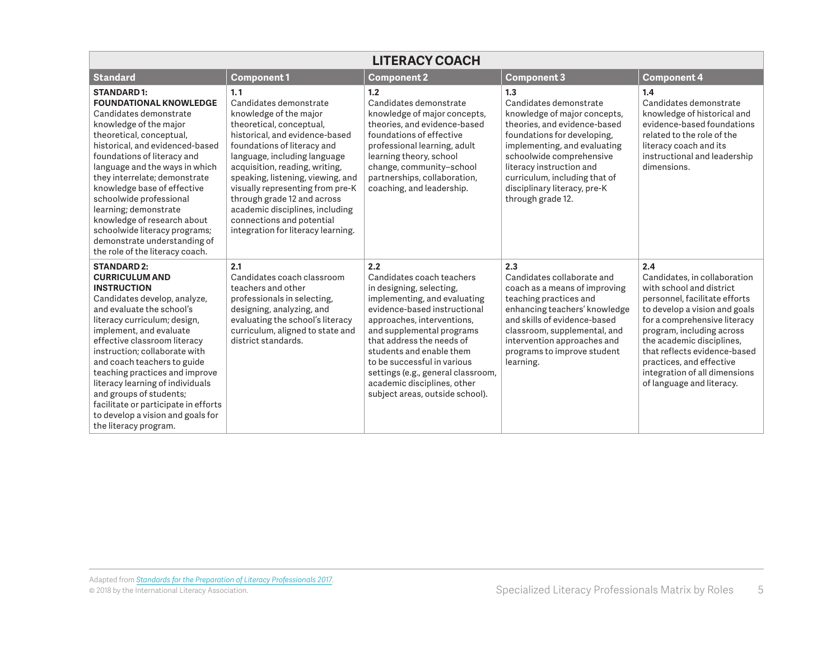| <b>LITERACY COACH</b>                                                                                                                                                                                                                                                                                                                                                                                                                                                                            |                                                                                                                                                                                                                                                                                                                                                                                                                                      |                                                                                                                                                                                                                                                                                                                                                                                         |                                                                                                                                                                                                                                                                                                            |                                                                                                                                                                                                                                                                                                                                                       |  |
|--------------------------------------------------------------------------------------------------------------------------------------------------------------------------------------------------------------------------------------------------------------------------------------------------------------------------------------------------------------------------------------------------------------------------------------------------------------------------------------------------|--------------------------------------------------------------------------------------------------------------------------------------------------------------------------------------------------------------------------------------------------------------------------------------------------------------------------------------------------------------------------------------------------------------------------------------|-----------------------------------------------------------------------------------------------------------------------------------------------------------------------------------------------------------------------------------------------------------------------------------------------------------------------------------------------------------------------------------------|------------------------------------------------------------------------------------------------------------------------------------------------------------------------------------------------------------------------------------------------------------------------------------------------------------|-------------------------------------------------------------------------------------------------------------------------------------------------------------------------------------------------------------------------------------------------------------------------------------------------------------------------------------------------------|--|
| <b>Standard</b>                                                                                                                                                                                                                                                                                                                                                                                                                                                                                  | <b>Component1</b>                                                                                                                                                                                                                                                                                                                                                                                                                    | <b>Component 2</b>                                                                                                                                                                                                                                                                                                                                                                      | <b>Component 3</b>                                                                                                                                                                                                                                                                                         | <b>Component 4</b>                                                                                                                                                                                                                                                                                                                                    |  |
| <b>STANDARD1:</b><br><b>FOUNDATIONAL KNOWLEDGE</b><br>Candidates demonstrate<br>knowledge of the major<br>theoretical, conceptual,<br>historical, and evidenced-based<br>foundations of literacy and<br>language and the ways in which<br>they interrelate; demonstrate<br>knowledge base of effective<br>schoolwide professional<br>learning; demonstrate<br>knowledge of research about<br>schoolwide literacy programs;<br>demonstrate understanding of<br>the role of the literacy coach.    | 1.1<br>Candidates demonstrate<br>knowledge of the major<br>theoretical, conceptual,<br>historical, and evidence-based<br>foundations of literacy and<br>language, including language<br>acquisition, reading, writing,<br>speaking, listening, viewing, and<br>visually representing from pre-K<br>through grade 12 and across<br>academic disciplines, including<br>connections and potential<br>integration for literacy learning. | 1.2<br>Candidates demonstrate<br>knowledge of major concepts,<br>theories, and evidence-based<br>foundations of effective<br>professional learning, adult<br>learning theory, school<br>change, community-school<br>partnerships, collaboration,<br>coaching, and leadership.                                                                                                           | 1.3<br>Candidates demonstrate<br>knowledge of major concepts,<br>theories, and evidence-based<br>foundations for developing,<br>implementing, and evaluating<br>schoolwide comprehensive<br>literacy instruction and<br>curriculum, including that of<br>disciplinary literacy, pre-K<br>through grade 12. | 1.4<br>Candidates demonstrate<br>knowledge of historical and<br>evidence-based foundations<br>related to the role of the<br>literacy coach and its<br>instructional and leadership<br>dimensions.                                                                                                                                                     |  |
| <b>STANDARD 2:</b><br><b>CURRICULUM AND</b><br><b>INSTRUCTION</b><br>Candidates develop, analyze,<br>and evaluate the school's<br>literacy curriculum; design,<br>implement, and evaluate<br>effective classroom literacy<br>instruction: collaborate with<br>and coach teachers to guide<br>teaching practices and improve<br>literacy learning of individuals<br>and groups of students;<br>facilitate or participate in efforts<br>to develop a vision and goals for<br>the literacy program. | 2.1<br>Candidates coach classroom<br>teachers and other<br>professionals in selecting,<br>designing, analyzing, and<br>evaluating the school's literacy<br>curriculum, aligned to state and<br>district standards.                                                                                                                                                                                                                   | 2.2<br>Candidates coach teachers<br>in designing, selecting,<br>implementing, and evaluating<br>evidence-based instructional<br>approaches, interventions,<br>and supplemental programs<br>that address the needs of<br>students and enable them<br>to be successful in various<br>settings (e.g., general classroom,<br>academic disciplines, other<br>subject areas, outside school). | 2.3<br>Candidates collaborate and<br>coach as a means of improving<br>teaching practices and<br>enhancing teachers' knowledge<br>and skills of evidence-based<br>classroom, supplemental, and<br>intervention approaches and<br>programs to improve student<br>learning.                                   | 2.4<br>Candidates, in collaboration<br>with school and district<br>personnel, facilitate efforts<br>to develop a vision and goals<br>for a comprehensive literacy<br>program, including across<br>the academic disciplines.<br>that reflects evidence-based<br>practices, and effective<br>integration of all dimensions<br>of language and literacy. |  |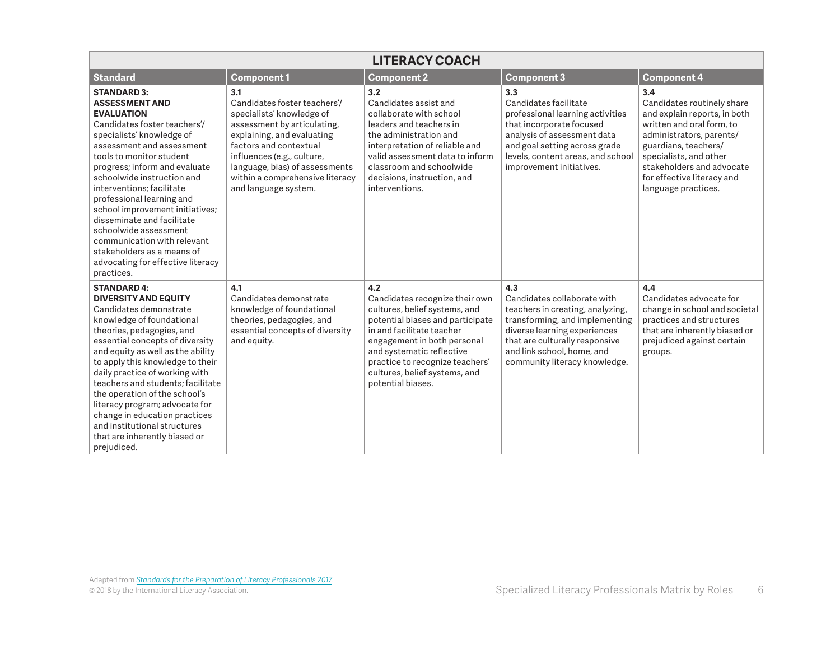| <b>LITERACY COACH</b>                                                                                                                                                                                                                                                                                                                                                                                                                                                                                                     |                                                                                                                                                                                                                                                                                    |                                                                                                                                                                                                                                                                                              |                                                                                                                                                                                                                                           |                                                                                                                                                                                                                                                                |  |
|---------------------------------------------------------------------------------------------------------------------------------------------------------------------------------------------------------------------------------------------------------------------------------------------------------------------------------------------------------------------------------------------------------------------------------------------------------------------------------------------------------------------------|------------------------------------------------------------------------------------------------------------------------------------------------------------------------------------------------------------------------------------------------------------------------------------|----------------------------------------------------------------------------------------------------------------------------------------------------------------------------------------------------------------------------------------------------------------------------------------------|-------------------------------------------------------------------------------------------------------------------------------------------------------------------------------------------------------------------------------------------|----------------------------------------------------------------------------------------------------------------------------------------------------------------------------------------------------------------------------------------------------------------|--|
| <b>Standard</b>                                                                                                                                                                                                                                                                                                                                                                                                                                                                                                           | <b>Component1</b>                                                                                                                                                                                                                                                                  | <b>Component 2</b>                                                                                                                                                                                                                                                                           | <b>Component 3</b>                                                                                                                                                                                                                        | <b>Component 4</b>                                                                                                                                                                                                                                             |  |
| <b>STANDARD 3:</b><br><b>ASSESSMENT AND</b><br><b>EVALUATION</b><br>Candidates foster teachers'/<br>specialists' knowledge of<br>assessment and assessment<br>tools to monitor student<br>progress; inform and evaluate<br>schoolwide instruction and<br>interventions; facilitate<br>professional learning and<br>school improvement initiatives;<br>disseminate and facilitate<br>schoolwide assessment<br>communication with relevant<br>stakeholders as a means of<br>advocating for effective literacy<br>practices. | 3.1<br>Candidates foster teachers'/<br>specialists' knowledge of<br>assessment by articulating,<br>explaining, and evaluating<br>factors and contextual<br>influences (e.g., culture,<br>language, bias) of assessments<br>within a comprehensive literacy<br>and language system. | 3.2<br>Candidates assist and<br>collaborate with school<br>leaders and teachers in<br>the administration and<br>interpretation of reliable and<br>valid assessment data to inform<br>classroom and schoolwide<br>decisions, instruction, and<br>interventions.                               | 3.3<br>Candidates facilitate<br>professional learning activities<br>that incorporate focused<br>analysis of assessment data<br>and goal setting across grade<br>levels, content areas, and school<br>improvement initiatives.             | 3.4<br>Candidates routinely share<br>and explain reports, in both<br>written and oral form, to<br>administrators, parents/<br>guardians, teachers/<br>specialists, and other<br>stakeholders and advocate<br>for effective literacy and<br>language practices. |  |
| <b>STANDARD 4:</b><br><b>DIVERSITY AND EQUITY</b><br>Candidates demonstrate<br>knowledge of foundational<br>theories, pedagogies, and<br>essential concepts of diversity<br>and equity as well as the ability<br>to apply this knowledge to their<br>daily practice of working with<br>teachers and students: facilitate<br>the operation of the school's<br>literacy program; advocate for<br>change in education practices<br>and institutional structures<br>that are inherently biased or<br>prejudiced.              | 4.1<br>Candidates demonstrate<br>knowledge of foundational<br>theories, pedagogies, and<br>essential concepts of diversity<br>and equity.                                                                                                                                          | 4.2<br>Candidates recognize their own<br>cultures, belief systems, and<br>potential biases and participate<br>in and facilitate teacher<br>engagement in both personal<br>and systematic reflective<br>practice to recognize teachers'<br>cultures, belief systems, and<br>potential biases. | 4.3<br>Candidates collaborate with<br>teachers in creating, analyzing,<br>transforming, and implementing<br>diverse learning experiences<br>that are culturally responsive<br>and link school, home, and<br>community literacy knowledge. | 4.4<br>Candidates advocate for<br>change in school and societal<br>practices and structures<br>that are inherently biased or<br>prejudiced against certain<br>groups.                                                                                          |  |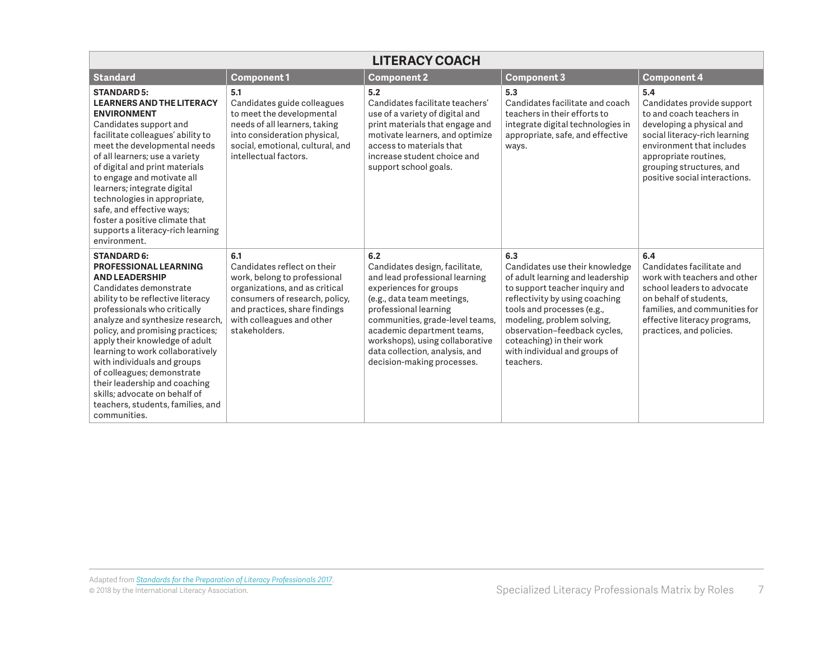| <b>LITERACY COACH</b>                                                                                                                                                                                                                                                                                                                                                                                                                                                                                        |                                                                                                                                                                                                                       |                                                                                                                                                                                                                                                                                                                              |                                                                                                                                                                                                                                                                                                                      |                                                                                                                                                                                                                                                |  |
|--------------------------------------------------------------------------------------------------------------------------------------------------------------------------------------------------------------------------------------------------------------------------------------------------------------------------------------------------------------------------------------------------------------------------------------------------------------------------------------------------------------|-----------------------------------------------------------------------------------------------------------------------------------------------------------------------------------------------------------------------|------------------------------------------------------------------------------------------------------------------------------------------------------------------------------------------------------------------------------------------------------------------------------------------------------------------------------|----------------------------------------------------------------------------------------------------------------------------------------------------------------------------------------------------------------------------------------------------------------------------------------------------------------------|------------------------------------------------------------------------------------------------------------------------------------------------------------------------------------------------------------------------------------------------|--|
| <b>Standard</b>                                                                                                                                                                                                                                                                                                                                                                                                                                                                                              | <b>Component1</b>                                                                                                                                                                                                     | <b>Component 2</b>                                                                                                                                                                                                                                                                                                           | <b>Component 3</b>                                                                                                                                                                                                                                                                                                   | <b>Component 4</b>                                                                                                                                                                                                                             |  |
| <b>STANDARD 5:</b><br><b>LEARNERS AND THE LITERACY</b><br><b>ENVIRONMENT</b><br>Candidates support and<br>facilitate colleagues' ability to<br>meet the developmental needs<br>of all learners; use a variety<br>of digital and print materials<br>to engage and motivate all<br>learners; integrate digital<br>technologies in appropriate,<br>safe, and effective ways;<br>foster a positive climate that<br>supports a literacy-rich learning<br>environment.                                             | 5.1<br>Candidates guide colleagues<br>to meet the developmental<br>needs of all learners, taking<br>into consideration physical,<br>social, emotional, cultural, and<br>intellectual factors.                         | 5.2<br>Candidates facilitate teachers'<br>use of a variety of digital and<br>print materials that engage and<br>motivate learners, and optimize<br>access to materials that<br>increase student choice and<br>support school goals.                                                                                          | 5.3<br>Candidates facilitate and coach<br>teachers in their efforts to<br>integrate digital technologies in<br>appropriate, safe, and effective<br>ways.                                                                                                                                                             | 5.4<br>Candidates provide support<br>to and coach teachers in<br>developing a physical and<br>social literacy-rich learning<br>environment that includes<br>appropriate routines,<br>grouping structures, and<br>positive social interactions. |  |
| <b>STANDARD 6:</b><br><b>PROFESSIONAL LEARNING</b><br><b>AND LEADERSHIP</b><br>Candidates demonstrate<br>ability to be reflective literacy<br>professionals who critically<br>analyze and synthesize research,<br>policy, and promising practices;<br>apply their knowledge of adult<br>learning to work collaboratively<br>with individuals and groups<br>of colleagues; demonstrate<br>their leadership and coaching<br>skills: advocate on behalf of<br>teachers, students, families, and<br>communities. | 6.1<br>Candidates reflect on their<br>work, belong to professional<br>organizations, and as critical<br>consumers of research, policy,<br>and practices, share findings<br>with colleagues and other<br>stakeholders. | 6.2<br>Candidates design, facilitate,<br>and lead professional learning<br>experiences for groups<br>(e.g., data team meetings,<br>professional learning<br>communities, grade-level teams,<br>academic department teams,<br>workshops), using collaborative<br>data collection, analysis, and<br>decision-making processes. | 6.3<br>Candidates use their knowledge<br>of adult learning and leadership<br>to support teacher inquiry and<br>reflectivity by using coaching<br>tools and processes (e.g.,<br>modeling, problem solving,<br>observation-feedback cycles,<br>coteaching) in their work<br>with individual and groups of<br>teachers. | 6.4<br>Candidates facilitate and<br>work with teachers and other<br>school leaders to advocate<br>on behalf of students.<br>families, and communities for<br>effective literacy programs,<br>practices, and policies.                          |  |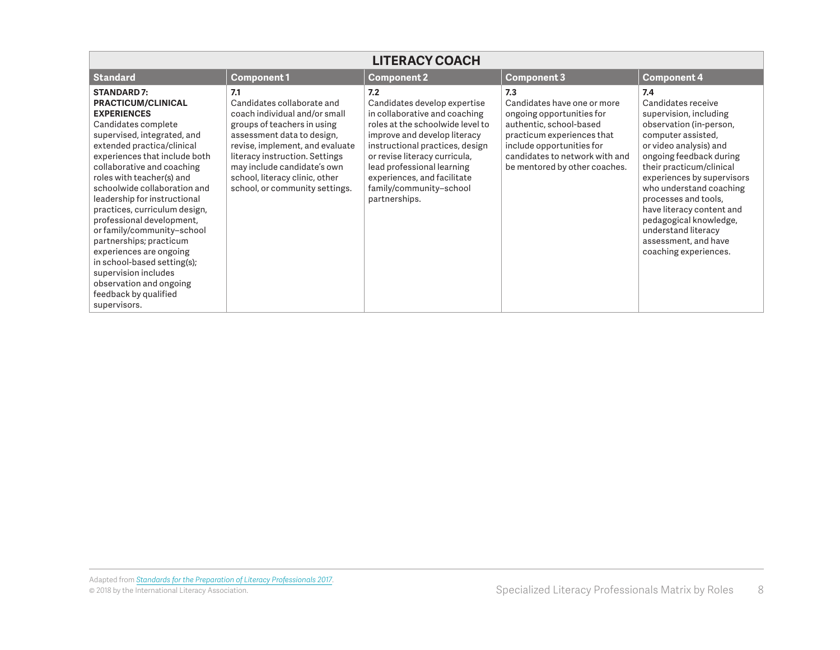| <b>LITERACY COACH</b>                                                                                                                                                                                                                                                                                                                                                                                                                                                                                                                                                                              |                                                                                                                                                                                                                                                                                                         |                                                                                                                                                                                                                                                                                                                       |                                                                                                                                                                                                                          |                                                                                                                                                                                                                                                                                                                                                                                                       |  |
|----------------------------------------------------------------------------------------------------------------------------------------------------------------------------------------------------------------------------------------------------------------------------------------------------------------------------------------------------------------------------------------------------------------------------------------------------------------------------------------------------------------------------------------------------------------------------------------------------|---------------------------------------------------------------------------------------------------------------------------------------------------------------------------------------------------------------------------------------------------------------------------------------------------------|-----------------------------------------------------------------------------------------------------------------------------------------------------------------------------------------------------------------------------------------------------------------------------------------------------------------------|--------------------------------------------------------------------------------------------------------------------------------------------------------------------------------------------------------------------------|-------------------------------------------------------------------------------------------------------------------------------------------------------------------------------------------------------------------------------------------------------------------------------------------------------------------------------------------------------------------------------------------------------|--|
| Standard                                                                                                                                                                                                                                                                                                                                                                                                                                                                                                                                                                                           | <b>Component1</b>                                                                                                                                                                                                                                                                                       | <b>Component 2</b>                                                                                                                                                                                                                                                                                                    | <b>Component 3</b>                                                                                                                                                                                                       | <b>Component 4</b>                                                                                                                                                                                                                                                                                                                                                                                    |  |
| <b>STANDARD 7:</b><br><b>PRACTICUM/CLINICAL</b><br><b>EXPERIENCES</b><br>Candidates complete<br>supervised, integrated, and<br>extended practica/clinical<br>experiences that include both<br>collaborative and coaching<br>roles with teacher(s) and<br>schoolwide collaboration and<br>leadership for instructional<br>practices, curriculum design,<br>professional development,<br>or family/community-school<br>partnerships; practicum<br>experiences are ongoing<br>in school-based setting(s);<br>supervision includes<br>observation and ongoing<br>feedback by qualified<br>supervisors. | 7.1<br>Candidates collaborate and<br>coach individual and/or small<br>groups of teachers in using<br>assessment data to design,<br>revise, implement, and evaluate<br>literacy instruction. Settings<br>may include candidate's own<br>school, literacy clinic, other<br>school, or community settings. | 7.2<br>Candidates develop expertise<br>in collaborative and coaching<br>roles at the schoolwide level to<br>improve and develop literacy<br>instructional practices, design<br>or revise literacy curricula,<br>lead professional learning<br>experiences, and facilitate<br>family/community-school<br>partnerships. | 7.3<br>Candidates have one or more<br>ongoing opportunities for<br>authentic, school-based<br>practicum experiences that<br>include opportunities for<br>candidates to network with and<br>be mentored by other coaches. | 7.4<br>Candidates receive<br>supervision, including<br>observation (in-person,<br>computer assisted,<br>or video analysis) and<br>ongoing feedback during<br>their practicum/clinical<br>experiences by supervisors<br>who understand coaching<br>processes and tools,<br>have literacy content and<br>pedagogical knowledge,<br>understand literacy<br>assessment, and have<br>coaching experiences. |  |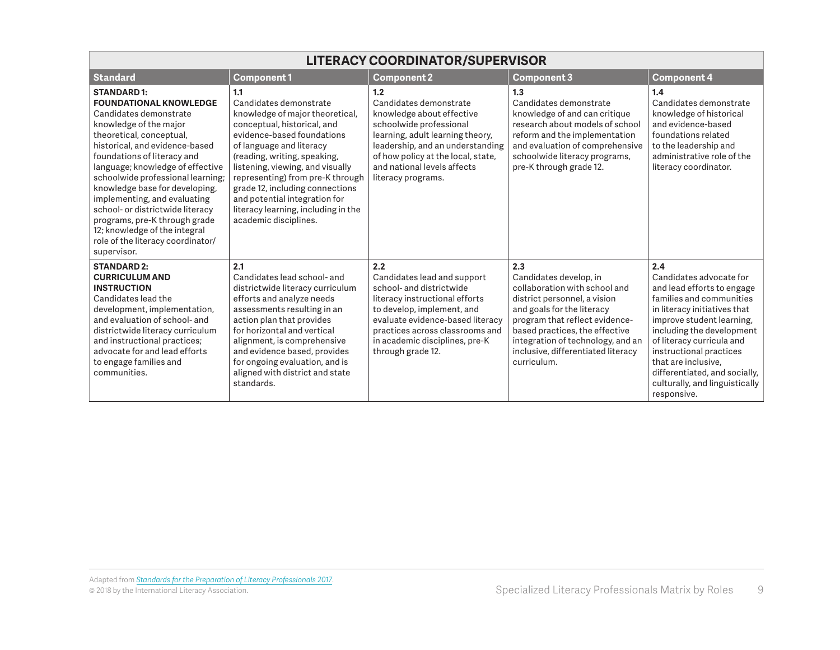| <b>LITERACY COORDINATOR/SUPERVISOR</b>                                                                                                                                                                                                                                                                                                                                                                                                                                                                   |                                                                                                                                                                                                                                                                                                                                                                                                       |                                                                                                                                                                                                                                                              |                                                                                                                                                                                                                                                                                            |                                                                                                                                                                                                                                                                                                                                                     |  |
|----------------------------------------------------------------------------------------------------------------------------------------------------------------------------------------------------------------------------------------------------------------------------------------------------------------------------------------------------------------------------------------------------------------------------------------------------------------------------------------------------------|-------------------------------------------------------------------------------------------------------------------------------------------------------------------------------------------------------------------------------------------------------------------------------------------------------------------------------------------------------------------------------------------------------|--------------------------------------------------------------------------------------------------------------------------------------------------------------------------------------------------------------------------------------------------------------|--------------------------------------------------------------------------------------------------------------------------------------------------------------------------------------------------------------------------------------------------------------------------------------------|-----------------------------------------------------------------------------------------------------------------------------------------------------------------------------------------------------------------------------------------------------------------------------------------------------------------------------------------------------|--|
| <b>Standard</b>                                                                                                                                                                                                                                                                                                                                                                                                                                                                                          | <b>Component1</b>                                                                                                                                                                                                                                                                                                                                                                                     | <b>Component 2</b>                                                                                                                                                                                                                                           | <b>Component 3</b>                                                                                                                                                                                                                                                                         | <b>Component 4</b>                                                                                                                                                                                                                                                                                                                                  |  |
| <b>STANDARD1:</b><br><b>FOUNDATIONAL KNOWLEDGE</b><br>Candidates demonstrate<br>knowledge of the major<br>theoretical, conceptual,<br>historical, and evidence-based<br>foundations of literacy and<br>language; knowledge of effective<br>schoolwide professional learning;<br>knowledge base for developing,<br>implementing, and evaluating<br>school- or districtwide literacy<br>programs, pre-K through grade<br>12; knowledge of the integral<br>role of the literacy coordinator/<br>supervisor. | 1.1<br>Candidates demonstrate<br>knowledge of major theoretical,<br>conceptual, historical, and<br>evidence-based foundations<br>of language and literacy<br>(reading, writing, speaking,<br>listening, viewing, and visually<br>representing) from pre-K through<br>grade 12, including connections<br>and potential integration for<br>literacy learning, including in the<br>academic disciplines. | 1.2<br>Candidates demonstrate<br>knowledge about effective<br>schoolwide professional<br>learning, adult learning theory,<br>leadership, and an understanding<br>of how policy at the local, state,<br>and national levels affects<br>literacy programs.     | 1.3<br>Candidates demonstrate<br>knowledge of and can critique<br>research about models of school<br>reform and the implementation<br>and evaluation of comprehensive<br>schoolwide literacy programs,<br>pre-K through grade 12.                                                          | 1.4<br>Candidates demonstrate<br>knowledge of historical<br>and evidence-based<br>foundations related<br>to the leadership and<br>administrative role of the<br>literacy coordinator.                                                                                                                                                               |  |
| <b>STANDARD 2:</b><br><b>CURRICULUM AND</b><br><b>INSTRUCTION</b><br>Candidates lead the<br>development, implementation,<br>and evaluation of school- and<br>districtwide literacy curriculum<br>and instructional practices;<br>advocate for and lead efforts<br>to engage families and<br>communities.                                                                                                                                                                                                 | 2.1<br>Candidates lead school- and<br>districtwide literacy curriculum<br>efforts and analyze needs<br>assessments resulting in an<br>action plan that provides<br>for horizontal and vertical<br>alignment, is comprehensive<br>and evidence based, provides<br>for ongoing evaluation, and is<br>aligned with district and state<br>standards.                                                      | 2.2<br>Candidates lead and support<br>school- and districtwide<br>literacy instructional efforts<br>to develop, implement, and<br>evaluate evidence-based literacy<br>practices across classrooms and<br>in academic disciplines, pre-K<br>through grade 12. | 2.3<br>Candidates develop, in<br>collaboration with school and<br>district personnel, a vision<br>and goals for the literacy<br>program that reflect evidence-<br>based practices, the effective<br>integration of technology, and an<br>inclusive, differentiated literacy<br>curriculum. | 2.4<br>Candidates advocate for<br>and lead efforts to engage<br>families and communities<br>in literacy initiatives that<br>improve student learning,<br>including the development<br>of literacy curricula and<br>instructional practices<br>that are inclusive.<br>differentiated, and socially,<br>culturally, and linguistically<br>responsive. |  |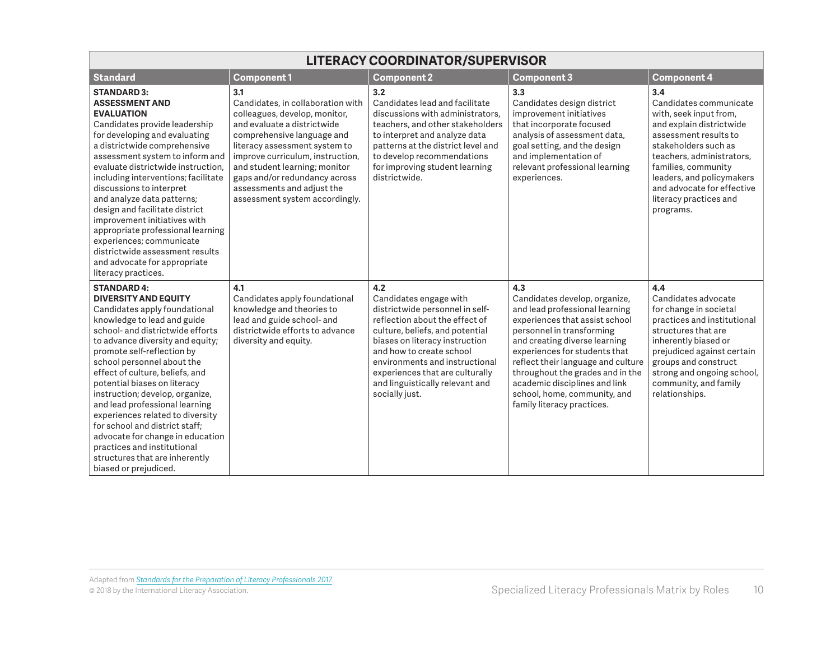| <b>LITERACY COORDINATOR/SUPERVISOR</b>                                                                                                                                                                                                                                                                                                                                                                                                                                                                                                                                                            |                                                                                                                                                                                                                                                                                                                                               |                                                                                                                                                                                                                                                                                                                               |                                                                                                                                                                                                                                                                                                                                                                                  |                                                                                                                                                                                                                                                                                            |
|---------------------------------------------------------------------------------------------------------------------------------------------------------------------------------------------------------------------------------------------------------------------------------------------------------------------------------------------------------------------------------------------------------------------------------------------------------------------------------------------------------------------------------------------------------------------------------------------------|-----------------------------------------------------------------------------------------------------------------------------------------------------------------------------------------------------------------------------------------------------------------------------------------------------------------------------------------------|-------------------------------------------------------------------------------------------------------------------------------------------------------------------------------------------------------------------------------------------------------------------------------------------------------------------------------|----------------------------------------------------------------------------------------------------------------------------------------------------------------------------------------------------------------------------------------------------------------------------------------------------------------------------------------------------------------------------------|--------------------------------------------------------------------------------------------------------------------------------------------------------------------------------------------------------------------------------------------------------------------------------------------|
| <b>Standard</b>                                                                                                                                                                                                                                                                                                                                                                                                                                                                                                                                                                                   | <b>Component1</b>                                                                                                                                                                                                                                                                                                                             | <b>Component 2</b>                                                                                                                                                                                                                                                                                                            | <b>Component 3</b>                                                                                                                                                                                                                                                                                                                                                               | <b>Component 4</b>                                                                                                                                                                                                                                                                         |
| <b>STANDARD 3:</b><br><b>ASSESSMENT AND</b><br><b>EVALUATION</b><br>Candidates provide leadership<br>for developing and evaluating<br>a districtwide comprehensive<br>assessment system to inform and<br>evaluate districtwide instruction.<br>including interventions; facilitate<br>discussions to interpret<br>and analyze data patterns;<br>design and facilitate district<br>improvement initiatives with<br>appropriate professional learning<br>experiences; communicate<br>districtwide assessment results<br>and advocate for appropriate<br>literacy practices.                         | 3.1<br>Candidates, in collaboration with<br>colleagues, develop, monitor,<br>and evaluate a districtwide<br>comprehensive language and<br>literacy assessment system to<br>improve curriculum, instruction,<br>and student learning; monitor<br>gaps and/or redundancy across<br>assessments and adjust the<br>assessment system accordingly. | 3.2<br>Candidates lead and facilitate<br>discussions with administrators.<br>teachers, and other stakeholders<br>to interpret and analyze data<br>patterns at the district level and<br>to develop recommendations<br>for improving student learning<br>districtwide.                                                         | 3.3<br>Candidates design district<br>improvement initiatives<br>that incorporate focused<br>analysis of assessment data,<br>goal setting, and the design<br>and implementation of<br>relevant professional learning<br>experiences.                                                                                                                                              | 3.4<br>Candidates communicate<br>with, seek input from,<br>and explain districtwide<br>assessment results to<br>stakeholders such as<br>teachers, administrators,<br>families, community<br>leaders, and policymakers<br>and advocate for effective<br>literacy practices and<br>programs. |
| <b>STANDARD 4:</b><br><b>DIVERSITY AND EQUITY</b><br>Candidates apply foundational<br>knowledge to lead and guide<br>school- and districtwide efforts<br>to advance diversity and equity;<br>promote self-reflection by<br>school personnel about the<br>effect of culture, beliefs, and<br>potential biases on literacy<br>instruction; develop, organize,<br>and lead professional learning<br>experiences related to diversity<br>for school and district staff:<br>advocate for change in education<br>practices and institutional<br>structures that are inherently<br>biased or prejudiced. | 4.1<br>Candidates apply foundational<br>knowledge and theories to<br>lead and guide school- and<br>districtwide efforts to advance<br>diversity and equity.                                                                                                                                                                                   | 4.2<br>Candidates engage with<br>districtwide personnel in self-<br>reflection about the effect of<br>culture, beliefs, and potential<br>biases on literacy instruction<br>and how to create school<br>environments and instructional<br>experiences that are culturally<br>and linguistically relevant and<br>socially just. | 4.3<br>Candidates develop, organize,<br>and lead professional learning<br>experiences that assist school<br>personnel in transforming<br>and creating diverse learning<br>experiences for students that<br>reflect their language and culture<br>throughout the grades and in the<br>academic disciplines and link<br>school, home, community, and<br>family literacy practices. | 4.4<br>Candidates advocate<br>for change in societal<br>practices and institutional<br>structures that are<br>inherently biased or<br>prejudiced against certain<br>groups and construct<br>strong and ongoing school,<br>community, and family<br>relationships.                          |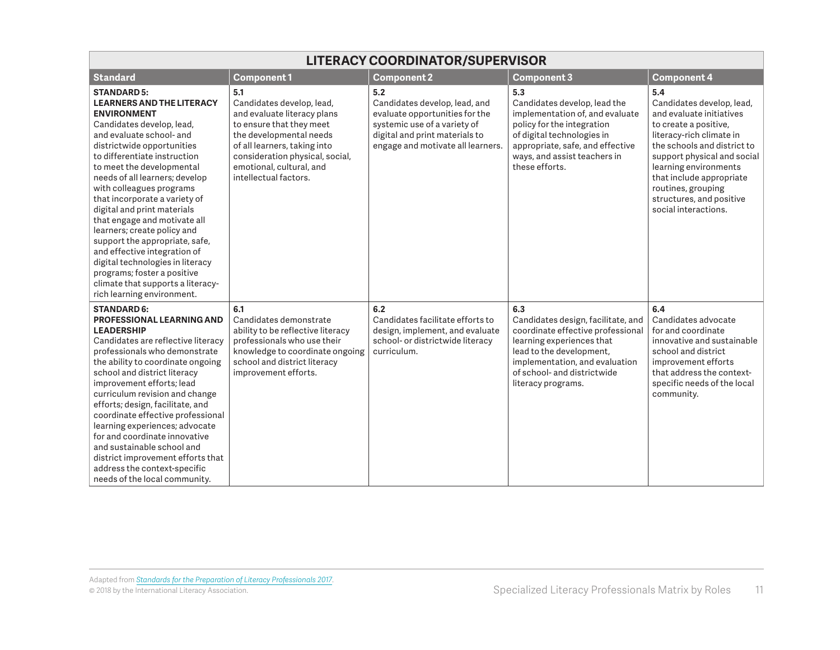| <b>LITERACY COORDINATOR/SUPERVISOR</b>                                                                                                                                                                                                                                                                                                                                                                                                                                                                                                                                                                                                |                                                                                                                                                                                                                                                |                                                                                                                                                                               |                                                                                                                                                                                                                                |                                                                                                                                                                                                                                                                                                                |  |
|---------------------------------------------------------------------------------------------------------------------------------------------------------------------------------------------------------------------------------------------------------------------------------------------------------------------------------------------------------------------------------------------------------------------------------------------------------------------------------------------------------------------------------------------------------------------------------------------------------------------------------------|------------------------------------------------------------------------------------------------------------------------------------------------------------------------------------------------------------------------------------------------|-------------------------------------------------------------------------------------------------------------------------------------------------------------------------------|--------------------------------------------------------------------------------------------------------------------------------------------------------------------------------------------------------------------------------|----------------------------------------------------------------------------------------------------------------------------------------------------------------------------------------------------------------------------------------------------------------------------------------------------------------|--|
| <b>Standard</b>                                                                                                                                                                                                                                                                                                                                                                                                                                                                                                                                                                                                                       | <b>Component1</b>                                                                                                                                                                                                                              | <b>Component 2</b>                                                                                                                                                            | Component 3                                                                                                                                                                                                                    | <b>Component 4</b>                                                                                                                                                                                                                                                                                             |  |
| <b>STANDARD 5:</b><br><b>LEARNERS AND THE LITERACY</b><br><b>ENVIRONMENT</b><br>Candidates develop, lead,<br>and evaluate school- and<br>districtwide opportunities<br>to differentiate instruction<br>to meet the developmental<br>needs of all learners; develop<br>with colleagues programs<br>that incorporate a variety of<br>digital and print materials<br>that engage and motivate all<br>learners; create policy and<br>support the appropriate, safe,<br>and effective integration of<br>digital technologies in literacy<br>programs; foster a positive<br>climate that supports a literacy-<br>rich learning environment. | 5.1<br>Candidates develop, lead,<br>and evaluate literacy plans<br>to ensure that they meet<br>the developmental needs<br>of all learners, taking into<br>consideration physical, social,<br>emotional, cultural, and<br>intellectual factors. | 5.2<br>Candidates develop, lead, and<br>evaluate opportunities for the<br>systemic use of a variety of<br>digital and print materials to<br>engage and motivate all learners. | 5.3<br>Candidates develop, lead the<br>implementation of, and evaluate<br>policy for the integration<br>of digital technologies in<br>appropriate, safe, and effective<br>ways, and assist teachers in<br>these efforts.       | 5.4<br>Candidates develop, lead,<br>and evaluate initiatives<br>to create a positive,<br>literacy-rich climate in<br>the schools and district to<br>support physical and social<br>learning environments<br>that include appropriate<br>routines, grouping<br>structures, and positive<br>social interactions. |  |
| <b>STANDARD 6:</b><br><b>PROFESSIONAL LEARNING AND</b><br><b>LEADERSHIP</b><br>Candidates are reflective literacy<br>professionals who demonstrate<br>the ability to coordinate ongoing<br>school and district literacy<br>improvement efforts; lead<br>curriculum revision and change<br>efforts; design, facilitate, and<br>coordinate effective professional<br>learning experiences; advocate<br>for and coordinate innovative<br>and sustainable school and<br>district improvement efforts that<br>address the context-specific<br>needs of the local community.                                                                | 6.1<br>Candidates demonstrate<br>ability to be reflective literacy<br>professionals who use their<br>knowledge to coordinate ongoing<br>school and district literacy<br>improvement efforts.                                                   | 6.2<br>Candidates facilitate efforts to<br>design, implement, and evaluate<br>school- or districtwide literacy<br>curriculum.                                                 | 6.3<br>Candidates design, facilitate, and<br>coordinate effective professional<br>learning experiences that<br>lead to the development,<br>implementation, and evaluation<br>of school- and districtwide<br>literacy programs. | 6.4<br>Candidates advocate<br>for and coordinate<br>innovative and sustainable<br>school and district<br>improvement efforts<br>that address the context-<br>specific needs of the local<br>community.                                                                                                         |  |